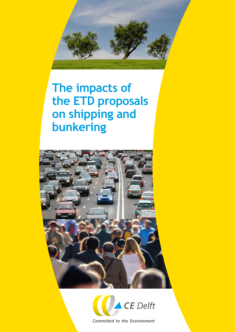

# **The impacts of the ETD proposals on shipping and bunkering**





**Committed to the Environment**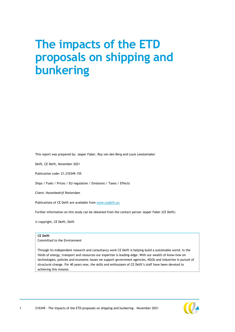# **The impacts of the ETD proposals on shipping and bunkering**

This report was prepared by: Jasper Faber, Roy van den Berg and Louis Leestemaker

Delft, CE Delft, November 2021

Publication code: 21.210349.155

Ships / Fuels / Prices / EU regulation / Emissions / Taxes / Effects

Client: Havenbedrijf Rotterdam

Publications of CE Delft are available from [www.cedelft.eu](http://www.cedelft.eu/)

Further information on this study can be obtained from the contact person Jasper Faber (CE Delft)

© copyright, CE Delft, Delft

#### **CE Delft**

Committed to the Environment

Through its independent research and consultancy work CE Delft is helping build a sustainable world. In the fields of energy, transport and resources our expertise is leading-edge. With our wealth of know-how on technologies, policies and economic issues we support government agencies, NGOs and industries in pursuit of structural change. For 40 years now, the skills and enthusiasm of CE Delft's staff have been devoted to achieving this mission.

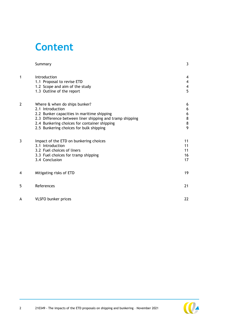# **Content**

|   | Summary                                                                                                                                                                                                                                                | 3                                      |
|---|--------------------------------------------------------------------------------------------------------------------------------------------------------------------------------------------------------------------------------------------------------|----------------------------------------|
| 1 | Introduction<br>1.1 Proposal to revise ETD<br>1.2 Scope and aim of the study<br>1.3 Outline of the report                                                                                                                                              | 4<br>4<br>$\overline{\mathbf{4}}$<br>5 |
| 2 | Where & when do ships bunker?<br>2.1 Introduction<br>2.2 Bunker capacities in maritime shipping<br>2.3 Difference between liner shipping and tramp shipping<br>2.4 Bunkering choices for container shipping<br>2.5 Bunkering choices for bulk shipping | 6<br>6<br>6<br>8<br>8<br>9             |
| 3 | Impact of the ETD on bunkering choices<br>3.1 Introduction<br>3.2 Fuel choices of liners<br>3.3 Fuel choices for tramp shipping<br>3.4 Conclusion                                                                                                      | 11<br>11<br>11<br>16<br>17             |
| 4 | Mitigating risks of ETD                                                                                                                                                                                                                                | 19                                     |
| 5 | References                                                                                                                                                                                                                                             | 21                                     |
| A | <b>VLSFO bunker prices</b>                                                                                                                                                                                                                             | 22                                     |

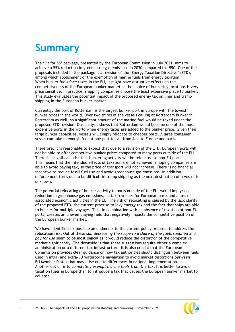# <span id="page-3-0"></span>**Summary**

The 'Fit for 55' package, presented by the European Commission in July 2021, aims to achieve a 55% reduction in greenhouse gas emissions in 2030 compared to 1990. One of the proposals included in the package is a revision of the 'Energy Taxation Directive' (ETD), among which abolishment of the exemption of marine fuels from energy taxation. When bunker fuels face taxes in the EU, it might have disruptive effects on the competitiveness of the European bunker market as the choice of bunkering locations is very price sensitive. In practice, shipping companies choose the least expensive place to bunker. This study evaluates the potential impact of the proposed energy tax on liner and tramp shipping in the European bunker market.

Currently, the port of Rotterdam is the largest bunker port in Europe with the lowest bunker prices in the world. Over two thirds of the vessels calling at Rotterdam bunker in Rotterdam as well, so a significant amount of the marine fuel would be taxed under the proposed ETD revision. Our analysis shows that Rotterdam would become one of the most expensive ports in the world when energy taxes are added to the bunker price. Given their large bunker capacities, vessels will simply relocate to cheaper ports. A large container vessel can take in enough fuel at one port to sail from Asia to Europe and back.

Therefore, it is reasonable to expect that due to a revision of the ETD, European ports will not be able to offer competitive bunker prices compared to many ports outside of the EU. There is a significant risk that bunkering activity will be relocated to non-EU ports. This means that the intended effects of taxation are not achieved; shipping companies are able to avoid paying tax, so the price of transport will not increase. There is no financial incentive to reduce fossil fuel use and avoid greenhouse gas emissions. In addition, enforcement turns out to be difficult in tramp shipping as the next destination of a vessel is unknown.

The potential relocating of bunker activity to ports outside of the EU, would imply: no reduction in greenhouse gas emissions, no tax revenues for European ports and a loss of associated economic activities in the EU. The risk of relocating is caused by the lack clarity of the proposed ETD, the current practise to levy energy tax and the fact that ships are able to bunker for multiple voyages. This, in combination with an absence of taxation at non-EU ports, creates an uneven playing field that negatively impacts the competitive position of the European bunker market.

We have identified six possible amendments to the current policy proposal to address the relocation risk. Out of these six, *decreasing the scope to a share of the fuels supplied* and *pay for use* seem to be most logical as it would reduce the distortion of the competitive market significantly. The downside is that these suggestions require either a complex administration or a different tax infrastructure. It is also crucial that the European Commission provides clear guidance on how tax authorities should distinguish between fuels used in intra- and extra-EU waterborne navigation to avoid market distortions *between*  EU Member States that may arise due to differences in national implementation. Another option is to *completely exempt marine fuels from the tax***.** It is better to avoid taxation fuels in Europe than to introduce a tax that causes the European bunker market to collapse.

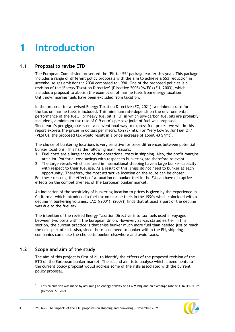# <span id="page-4-0"></span>**1 Introduction**

## **1.1 Proposal to revise ETD**

<span id="page-4-1"></span>The European Commission presented the 'Fit for 55' package earlier this year. This package includes a range of different policy proposals with the aim to achieve a 55% reduction in greenhouse gas emissions in 2030 compared to 1990. One of the proposed policies is a revision of the 'Energy Taxation Directive' (Directive 2003/96/EC) (EU, 2003), which includes a proposal to abolish the exemption of marine fuels from energy taxation. Until now, marine fuels have been excluded from taxation.

In the proposal for a revised Energy Taxation Directive (EC, 2021), a minimum rate for the tax on marine fuels is included. This minimum rate depends on the environmental performance of the fuel. For heavy fuel oil (HFO, in which low-carbon fuel oils are probably included), a minimum tax rate of 0.9 euro's per gigajoule of fuel was proposed. Since euro's per gigajoule is not a conventional way to express fuel prices, we will in this report express the prices in dollars per metric ton (\$/mt). For 'Very Low Sulfur Fuel Oil' (VLSFO), the proposed tax would result in a price increase of about 43  $\zeta$ /mt<sup>1</sup>.

The choice of bunkering locations is very sensitive for price differences between potential bunker locations. This has the following main reasons:

- 1. Fuel costs are a large share of the operational costs in shipping. Also, the profit margins are slim. Potential cost savings with respect to bunkering are therefore relevant.
- <span id="page-4-3"></span>2. The large vessels which are used in international shipping have a large bunker capacity with respect to their fuel use. As a result of this, ships do not need to bunker at each opportunity. Therefore, the most attractive location on the route can be chosen.

For these reasons, the effects of a taxation on bunker fuel in the EU can have disruptive effects on the competitiveness of the European bunker market.

An indication of the sensitivity of bunkering location to prices is given by the experience in California, which introduced a fuel tax on marine fuels in the 1990s which coincided with a decline in bunkering volumes. LAO ((2001), (2007)) finds that at least a part of the decline was due to the fuel tax.

The intention of the revised Energy Taxation Directive is to tax fuels used in voyages between two ports within the European Union. However, as was stated earlier in this section, the current practice is that ships bunker much more fuel than needed just to reach the next port of call. Also, since there is no need to bunker within the EU, shipping companies can make the choice to bunker elsewhere and avoid taxes.

## <span id="page-4-2"></span>**1.2 Scope and aim of the study**

\_\_\_\_\_\_\_\_\_\_\_\_\_\_\_\_\_\_\_\_\_\_\_\_\_\_\_\_\_\_\_\_

The aim of this project is first of all to identify the effects of the proposed revision of the ETD on the European bunker market. The second aim is to analyse which amendments to the current policy proposal would address some of the risks associated with the current policy proposal.

<sup>1</sup> This calculation was made by assuming an energy density of 41.6 MJ/kg and an exchange rate of 1.16 USD/Euro (October 27, 2021).

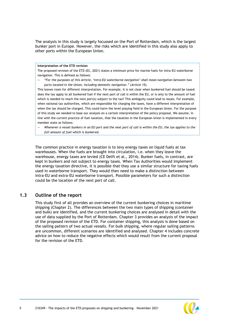The analysis in this study is largely focussed on the Port of Rotterdam, which is the largest bunker port in Europe. However, the risks which are identified in this study also apply to other ports within the European Union.

#### **Interpretation of the ETD revision**

The proposed revision of the ETD (EC, 2021) states a minimum price for marine fuels for intra-EU waterborne navigation. This is defined as follows:

*— "For the purposes of this Article, 'intra-EU waterborne navigation' shall mean navigation between two ports located in the Union, including domestic navigation." (Article 15).*

This leaves room for different interpretation. For example, it is not clear when bunkered fuel should be taxed: does the tax apply to all bunkered fuel if the next port of call is within the EU, or is only to the amount of fuel which is needed to reach the next port(s) subject to the tax? This ambiguity could lead to issues. For example, when national tax authorities, which are responsible for charging the taxes, have a different interpretation of when the tax should be charged. This could harm the level playing field in the European Union. For the purpose of this study we needed to base our analysis on a certain interpretation of the policy proposal. We assume, in line with the current practice of fuel taxation, that the taxation in the European Union is implemented in every member state as follows:

*— Whenever a vessel bunkers in an EU port and the next port of call is within the EU, the tax applies to the full amount of fuel which is bunkered.*

The common practice in energy taxation is to levy energy taxes on liquid fuels at tax warehouses. When the fuels are brought into circulation, i.e. when they leave the warehouse, energy taxes are levied (CE Delft et al., 2014). Bunker fuels, in contrast, are kept in bunkers and not subject to energy taxes. When Tax Authorities would implement the energy taxation directive, it is possible that they use a similar structure for taxing fuels used in waterborne transport. They would then need to make a distinction between intra-EU and extra-EU waterborne transport. Possible parameters for such a distinction could be the location of the next port of call.

#### <span id="page-5-0"></span>**1.3 Outline of the report**

This study first of all provides an overview of the current bunkering choices in maritime shipping (Chapter [2\)](#page-4-3). The differences between the two main types of shipping (container and bulk) are identified, and the current bunkering choices are analysed in detail with the use of data supplied by the Port of Rotterdam. Chapter [3](#page-11-0) provides an analysis of the impact of the proposed revision of the ETD. For container shipping, this analysis is done based on the sailing pattern of two actual vessels. For bulk shipping, where regular sailing patterns are uncommon, different scenarios are identified and analysed. Chapter [4](#page-16-1) includes concrete advice on how to reduce the negative effects which would result from the current proposal for the revision of the ETD.

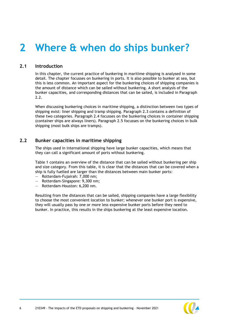# <span id="page-6-0"></span>**2 Where & when do ships bunker?**

### **2.1 Introduction**

<span id="page-6-1"></span>In this chapter, the current practice of bunkering in maritime shipping is analysed in some detail. The chapter focusses on bunkering in ports. It is also possible to bunker at sea, but this is less common. An important aspect for the bunkering choices of shipping companies is the amount of distance which can be sailed without bunkering. A short analysis of the bunker capacities, and corresponding distances that can be sailed, is included in Paragraph [2.2.](#page-6-2)

When discussing bunkering choices in maritime shipping, a distinction between two types of shipping exist: liner shipping and tramp shipping. Paragraph [2.3](#page-8-0) contains a definition of these two categories. Paragraph [2.4](#page-8-1) focusses on the bunkering choices in container shipping (container ships are always liners). Paragraph [2.5](#page-9-0) focusses on the bunkering choices in bulk shipping (most bulk ships are tramps).

### <span id="page-6-2"></span>**2.2 Bunker capacities in maritime shipping**

The ships used in international shipping have large bunker capacities, which means that they can call a significant amount of ports without bunkering.

[Table 1](#page-7-0) contains an overview of the distance that can be sailed without bunkering per ship and size category. From this table, it is clear that the distances that can be covered when a ship is fully fuelled are larger than the distances between main bunker ports:

- Rotterdam-Fujairah: 7,000 nm;
- Rotterdam-Singapore: 9,300 nm;
- Rotterdam-Houston: 6,200 nm.

Resulting from the distances that can be sailed, shipping companies have a large flexibility to choose the most convenient location to bunker; whenever one bunker port is expensive, they will usually pass by one or more less expensive bunker ports before they need to bunker. In practice, this results in the ships bunkering at the least expensive location.

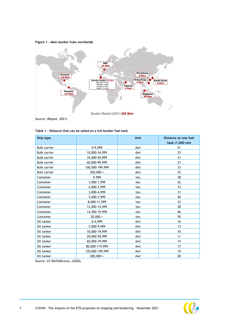<span id="page-7-1"></span>



Source: (Repsol, 2021).

| Ship type           |                 | <b>Unit</b> | Distance on one fuel<br>tank (1,000 nm) |
|---------------------|-----------------|-------------|-----------------------------------------|
| <b>Bulk carrier</b> | 0-9,999         | dwt         | 51                                      |
| <b>Bulk carrier</b> | 10,000-34,999   | dwt         | 33                                      |
| <b>Bulk carrier</b> | 35,000-59,999   | dwt         | 31                                      |
| <b>Bulk carrier</b> | 60,000-99,999   | dwt         | 31                                      |
| <b>Bulk carrier</b> | 100,000-199,999 | dwt         | 33                                      |
| <b>Bulk carrier</b> | $200,000-+$     | dwt         | 35                                      |
| Container           | 0-999           | teu         | 38                                      |
| Container           | 1,000-1,999     | teu         | 32                                      |
| Container           | 2,000-2,999     | teu         | 33                                      |
| Container           | 3,000-4,999     | teu         | 31                                      |
| Container           | 5,000-7,999     | teu         | 30                                      |
| Container           | 8,000-11,999    | teu         | 33                                      |
| Container           | 12,000-14,499   | teu         | 38                                      |
| Container           | 14,500-19,999   | teu         | 46                                      |
| Container           | $20,000-+$      | teu         | 50                                      |
| Oil tanker          | $0-4,999$       | dwt         | 16                                      |
| Oil tanker          | 5,000-9,999     | dwt         | 13                                      |
| Oil tanker          | 10,000-19,999   | dwt         | 10                                      |
| Oil tanker          | 20,000-59,999   | dwt         | 11                                      |
| Oil tanker          | 60,000-79,999   | dwt         | 14                                      |
| Oil tanker          | 80,000-119,999  | dwt         | 17                                      |
| Oil tanker          | 120,000-199,999 | dwt         | 19                                      |
| Oil tanker          | $200,000-$      | dwt         | 28                                      |

<span id="page-7-0"></span>

|  |  |  | Table 1 - Distance that can be sailed on a full bunker fuel tank |  |  |  |  |  |  |  |  |  |
|--|--|--|------------------------------------------------------------------|--|--|--|--|--|--|--|--|--|
|--|--|--|------------------------------------------------------------------|--|--|--|--|--|--|--|--|--|

Source: CE Delft&Ecorys, (2020).

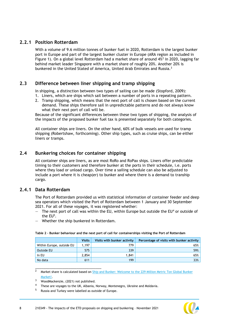### **2.2.1 Position Rotterdam**

With a volume of 9.6 million tonnes of bunker fuel in 2020, Rotterdam is the largest bunker port in Europe and part of the largest bunker cluster in Europe (ARA region as included in [Figure 1\)](#page-7-1). On a global level Rotterdam had a market share of around 4%<sup>2</sup> in 2020, lagging far behind market leader Singapore with a market share of roughly 20%. Another 20% is bunkered in the United Stated of America, United Arab Emirates and Russia.<sup>3</sup>

#### <span id="page-8-0"></span>**2.3 Difference between liner shipping and tramp shipping**

In shipping, a distinction between two types of sailing can be made (Stopford, 2009):

- 1. Liners, which are ships which sail between a number of ports in a repeating pattern.
- 2. Tramp shipping, which means that the next port of call is chosen based on the current demand. These ships therefore sail in unpredictable patterns and do not always know what their next port of call will be.

Because of the significant differences between these two types of shipping, the analysis of the impacts of the proposed bunker fuel tax is presented separately for both categories.

<span id="page-8-1"></span>All container ships are liners. On the other hand, 60% of bulk vessels are used for tramp shipping (Robertshaw, forthcoming). Other ship types, such as cruise ships, can be either liners or tramps.

### **2.4 Bunkering choices for container shipping**

All container ships are liners, as are most RoRo and RoPax ships. Liners offer predictable timing to their customers and therefore bunker at the ports in their schedule, i.e. ports where they load or unload cargo. Over time a sailing schedule can also be adjusted to include a port where it is cheap(er) to bunker and where there is a demand to tranship cargo.

#### **2.4.1 Data Rotterdam**

The Port of Rotterdam provided us with statistical information of container feeder and deep sea operators which visited the Port of Rotterdam between 1 January and 30 September 2021. For all of these voyages, it was registered whether:

- The next port of call was within the EU, within Europe but outside the  $EU<sup>4</sup>$  or outside of the EU<sup>5</sup>.
- Whether the ship bunkered in Rotterdam.

|                           | Visits | Visits with bunker activity | Percentage of visits with bunker activity |
|---------------------------|--------|-----------------------------|-------------------------------------------|
| Within Europe, outside EU | .197   | 779                         | 65%                                       |
| Outside EU                | 575    | 339                         | 59%                                       |
| In EU                     | 2.854  | 1.841                       | 65%                                       |
| No data                   | 611    | 199                         | 33%                                       |

#### **Table 2 – Bunker behaviour and the next port of call for containerships visiting the Port of Rotterdam**

2 Market share is calculated based on Ship and Bunker: Welcome to the 229 Million Metric Ton Global Bunker [Market!.](https://shipandbunker.com/news/world/375323-welcome-to-the-229-million-metric-ton-global-bunker-market)

<sup>3</sup> WoodMackenzie, (2021) not published.

<sup>4</sup> These are voyages to the UK, Albania, Norway, Montenegro, Ukraine and Moldavia.

Russia and Turkey were labelled as outside of Europe.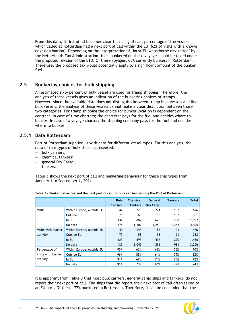From this data, it first of all becomes clear that a significant percentage of the vessels which called at Rotterdam had a next port of call within the EU (62% of visits with a known next destination). Depending on the interpretation of 'intra-EU waterborne navigation' by the Netherlands Tax Administration, fuels bunkered on these voyages could be taxed under the proposed revision of the ETD. Of these voyages, 65% currently bunkers in Rotterdam. Therefore, the proposed tax would potentially apply to a significant amount of the bunker fuel.

## <span id="page-9-0"></span>**2.5 Bunkering choices for bulk shipping**

An estimated sixty percent of bulk vessel are used for tramp shipping. Therefore, the analysis of these vessels gives an indication of the bunkering choices of tramps. However, since the available data does not distinguish between tramp bulk vessels and liner bulk vessels, the analysis of these vessels cannot make a clear distinction between those two categories. For tramp shipping the choice for bunker location is dependent on the contract. In case of time charters; the charterer pays for the fuel and decides where to bunker. In case of a voyage charter; the shipping company pays for the fuel and decides where to bunker.

#### **2.5.1 Data Rotterdam**

Port of Rotterdam supplied us with data for different vessel types. For this analysis, the data of four types of bulk ships is presented:

- bulk carriers;
- chemical tankers;
- general Dry Cargo;
- tankers.

[Table 3](#page-9-1) shows the next port of call and bunkering behaviour for these ship types from January 1 to September 1, 2021.

|                    |                           | <b>Bulk</b>     | <b>Chemical</b> | <b>General</b> | <b>Tankers</b> | <b>Total</b> |
|--------------------|---------------------------|-----------------|-----------------|----------------|----------------|--------------|
|                    |                           | <b>Carriers</b> | <b>Tankers</b>  | Dry Cargo      |                |              |
| <b>Visits</b>      | Within Europe, outside EU | 42              | 223             | 274            | 137            | 676          |
|                    | Outside EU                | 78              | 60              | 56             | 157            | 351          |
|                    | In EU                     | 137             | 887             | 670            | 298            | 1,992        |
|                    | No data                   | 478             | 1.502           | 1,250          | 1.245          | 4,475        |
| Visits with bunker | Within Europe, outside EU | 40              | 146             | 186            | 104            | 476          |
| activity           | <b>Outside EU</b>         | 75              | 53              | 36             | 124            | 288          |
|                    | In EU                     | 125             | 595             | 496            | 220            | 1,436        |
|                    | No data                   | 435             | 1,049           | 831            | 981            | 3,296        |
| Percentage of      | Within Europe, outside EU | 95%             | 65%             | 68%            | 76%            | 70%          |
| visits with bunker | Outside EU                | 96%             | 88%             | 64%            | 79%            | 82%          |
| activity           | In EU                     | 91%             | 67%             | 74%            | 74%            | 72%          |
|                    | No data                   | 91%             | 70%             | 66%            | 79%            | 74%          |

<span id="page-9-1"></span>**Table 3 - Bunker behaviour and the next port of call for bulk carriers visiting the Port of Rotterdam.**

It is apparent from [Table 3](#page-9-1) that most bulk carriers, general cargo ships and tankers, do not report their next port of call. The ships that did report their next port of call often sailed to an EU port. Of these, 72% bunkered in Rotterdam. Therefore, it can be concluded that the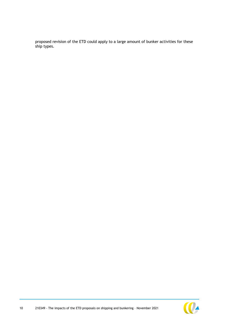proposed revision of the ETD could apply to a large amount of bunker activities for these ship types.

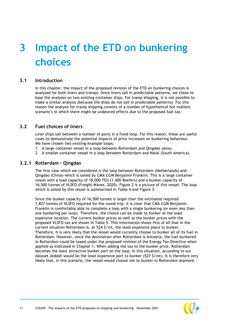# <span id="page-11-0"></span>**3 Impact of the ETD on bunkering choices**

#### **3.1 Introduction**

<span id="page-11-1"></span>In this chapter, the impact of the proposed revision of the ETD on bunkering choices is analysed for both liners and tramps. Since liners sail in predictable patterns, we chose to base the analyses on two existing container ships. For tramp shipping, it is not possible to make a similar analysis (because the ships do not sail in predictable patterns). For this reason the analysis for tramp shipping consists of a number of hypothetical but realistic scenario's in which there might be undesired effects due to the proposed fuel tax.

#### **3.2 Fuel choices of liners**

<span id="page-11-2"></span>Liner ships sail between a number of ports in a fixed loop. For this reason, these are useful cases to demonstrate the potential impacts of price increases on bunkering behaviour. We have chosen two existing example loops:

- 1. A large container vessel in a loop between Rotterdam and Qingdao (Asia).
- 2. A smaller container vessel in a loop between Rotterdam and Natal (South America).

#### **3.2.1 Rotterdam - Qingdao**

The first case which we considered is the loop between Rotterdam (Netherlands) and Qingdao (China) which is sailed by *CMA CGM Benjamin Franklin*. This is a large container vessel with a load capacity of 18,000 TEU (1,400 Reefers) and a bunker capacity of 16,500 tonnes of VLSFO (Freight Waves, 2020). [Figure 2](#page-12-0) is a picture of this vessel. The loop which is sailed by this vessel is summarized in [Table 4](#page-12-1) and [Figure 3.](#page-13-0)

Since the bunker capacity of 16,500 tonnes is larger than the estimated required 7,827 tonnes of VLSFO required for the round trip, it is clear that CMA CGM Benjamin Franklin is comfortably able to complete a loop with a single bunkering (or even less than one bunkering per loop). Therefore, the choice can be made to bunker at the least expensive location. The current bunker prices as well as the bunker prices with the proposed VLSFO tax are shown in [Table 5.](#page-13-1) This information shows first of all that in the current situation Rotterdam is, at 524 \$/mt, the least expensive place to bunker. Therefore, it is very likely that the vessel would currently choose to bunker all of its fuel in Rotterdam. However, since the destination after Rotterdam is Antwerp, the fuel bunkered in Rotterdam could be taxed under the proposed revision of the Energy Tax Directive when applied as indicated in Chapter [1.](#page-4-0) When adding the tax to the bunker price, Rotterdam becomes the least attractive bunker port on the loop. In this situation, according to our dataset Jeddah would be the least expensive port to bunker (527 \$/mt). It is therefore very likely that, in this scenario, the vessel would choose not to bunker in Rotterdam anymore.

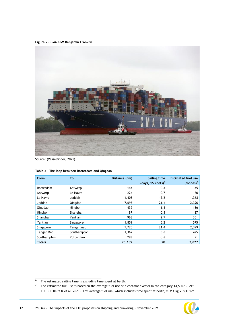<span id="page-12-0"></span>**Figure 2 – CMA CGM Benjamin Franklin**



Source: (Vesselfinder, 2021).

| From              | To          | Distance (nm) | <b>Sailing time</b><br>(days, 15 knots) <sup>6</sup> | <b>Estimated fuel use</b><br>$(tonnes)^7$ |
|-------------------|-------------|---------------|------------------------------------------------------|-------------------------------------------|
| Rotterdam         | Antwerp     | 144           | 0.4                                                  | 45                                        |
| Antwerp           | Le Havre    | 224           | 0.7                                                  | 70                                        |
| Le Havre          | Jeddah      | 4,403         | 12.2                                                 | 1,368                                     |
| Jeddah            | Qingdao     | 7,693         | 21.4                                                 | 2,390                                     |
| Qingdao           | Ningbo      | 439           | 1.3                                                  | 136                                       |
| Ningbo            | Shanghai    | 87            | 0.3                                                  | 27                                        |
| Shanghai          | Yantian     | 968           | 2.7                                                  | 301                                       |
| Yantian           | Singapore   | 1,851         | 5.2                                                  | 575                                       |
| Singapore         | Tanger Med  | 7,720         | 21.4                                                 | 2,399                                     |
| <b>Tanger Med</b> | Southampton | 1,367         | 3.8                                                  | 425                                       |
| Southampton       | Rotterdam   | 293           | 0.8                                                  | 91                                        |
| <b>Totals</b>     |             | 25,189        | 70                                                   | 7,827                                     |

<span id="page-12-1"></span>**Table 4 – The loop between Rotterdam and Qingdao**

 $\overline{6}$  The estimated sailing time is excluding time spent at berth.<br> $\overline{7}$  The estimated fuel use is based on the average fuel use of a

<sup>7</sup> The estimated fuel use is based on the average fuel use of a container vessel in the category 14,500-19,999 TEU (CE Delft & et al, 2020). This average fuel use, which includes time spent at berth, is 311 kg VLSFO/nm.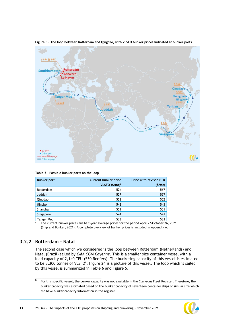

<span id="page-13-0"></span>**Figure 3 – The loop between Rotterdam and Qingdao, with VLSFO bunker prices indicated at bunker ports**

<span id="page-13-1"></span>**Table 5 – Possible bunker ports on the loop**

\_\_\_\_\_\_\_\_\_\_\_\_\_\_\_\_\_\_\_\_\_\_\_\_\_\_\_\_\_\_\_\_

| <b>Bunker port</b> | <b>Current bunker price</b> | <b>Price with revised ETD</b> |
|--------------------|-----------------------------|-------------------------------|
|                    | VLSFO (\$/mt) <sup>a</sup>  | (S/mL)                        |
| Rotterdam          | 524                         | 567                           |
| Jeddah             | 527                         | 527                           |
| Qingdao            | 552                         | 552                           |
| Ningbo             | 543                         | 543                           |
| Shanghai           | 551                         | 551                           |
| Singapore          | 541                         | 541                           |
| Tanger Med         | 533                         | 533                           |

<sup>a</sup> The current bunker prices are half-year average prices for the period April 27-October 26, 2021 (Ship and Bunker, 2021). A complete overview of bunker prices is included in Appendix [A.](#page-22-0)

### **3.2.2 Rotterdam – Natal**

The second case which we considered is the loop between Rotterdam (Netherlands) and Natal (Brazil) sailed by *CMA CGM Cayenne*. This is a smaller size container vessel with a load capacity of 2,140 TEU (530 Reefers). The bunkering capacity of this vessel is estimated to be  $3,300$  tonnes of VLSFO $8$ . [Figure 24](#page-12-0) is a picture of this vessel. The loop which is sailed by this vessel is summarized in [Table 6](#page-15-0) and [Figure 5.](#page-15-1)

<sup>8</sup> For this specific vessel, the bunker capacity was not available in the Clarksons Fleet Register. Therefore, the bunker capacity was estimated based on the bunker capacity of seventeen container ships of similar size which did have bunker capacity information in the register.

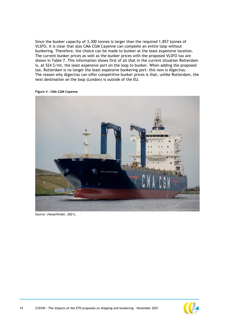Since the bunker capacity of 3,300 tonnes is larger than the required 1,857 tonnes of VLSFO, it is clear that also CMA CGM Cayenne can complete an entire loop without bunkering. Therefore, the choice can be made to bunker at the least expensive location. The current bunker prices as well as the bunker prices with the proposed VLSFO tax are shown in [Table 7.](#page-16-2) This information shows first of all that in the current situation Rotterdam is, at 524 \$/mt, the least expensive port on the loop to bunker. When adding the proposed tax, Rotterdam is no longer the least expensive bunkering port: this now is Algeciras. The reason why Algeciras can offer competitive bunker prices is that, unlike Rotterdam, the next destination on the loop (London) is outside of the EU.



**Figure 4 – CMA CGM Cayenne**

Source: (Vesselfinder, 2021).

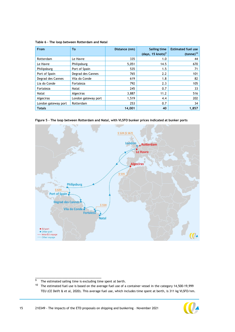<span id="page-15-0"></span>**Table 6 – The loop between Rotterdam and Natal**

| From                | To                  | Distance (nm) | Sailing time<br>(days, 15 knots) <sup>9</sup> | <b>Estimated fuel use</b><br>$(tonne)^{10}$ |
|---------------------|---------------------|---------------|-----------------------------------------------|---------------------------------------------|
| Rotterdam           | Le Havre            | 335           | 1.0                                           | 44                                          |
| Le Havre            | Philipsburg         | 5,051         | 14.5                                          | 670                                         |
| Philipsburg         | Port of Spain       | 535           | 1.5                                           | 71                                          |
| Port of Spain       | Degrad des Cannes   | 765           | 2.2                                           | 101                                         |
| Degrad des Cannes   | Vila do Conde       | 619           | 1.8                                           | 82                                          |
| Lia do Conde        | Fortaleza           | 792           | 2.3                                           | 105                                         |
| Fortaleza           | Natal               | 245           | 0.7                                           | 33                                          |
| Natal               | Algeciras           | 3,887         | 11.2                                          | 516                                         |
| Algeciras           | London gateway port | 1,519         | 4.4                                           | 202                                         |
| London gateway port | Rotterdam           | 253           | 0.7                                           | 34                                          |
| <b>Totals</b>       |                     | 14,001        | 40                                            | 1,857                                       |

<span id="page-15-1"></span>





The estimated sailing time is excluding time spent at berth.

 $10$  The estimated fuel use is based on the average fuel use of a container vessel in the category 14,500-19,999 TEU (CE Delft & et al, 2020). This average fuel use, which includes time spent at berth, is 311 kg VLSFO/nm.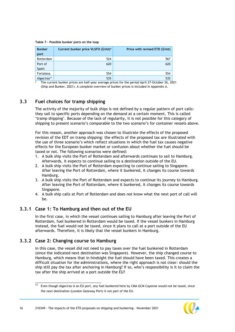<span id="page-16-2"></span>**Table 7 – Possible bunker ports on the loop**

| <b>Bunker</b><br>port   | Current bunker price VLSFO (\$/mt) <sup>a</sup> | Price with revised ETD (\$/mt) |
|-------------------------|-------------------------------------------------|--------------------------------|
| Rotterdam               | 524                                             | 567                            |
| Port of                 | 620                                             | 620                            |
| Spain                   |                                                 |                                |
| Fortaleza               | 554                                             | 554                            |
| Algeciras <sup>11</sup> | 535                                             | 535                            |

<span id="page-16-0"></span><sup>a</sup> The current bunker prices are half-year average prices for the period April 27-October 26, 2021 (Ship and Bunker, 2021). A complete overview of bunker prices is included in Appendix [A.](#page-22-0)

## **3.3 Fuel choices for tramp shipping**

The activity of the majority of bulk ships is not defined by a regular pattern of port calls: they sail to specific ports depending on the demand at a certain moment. This is called 'tramp shipping'. Because of the lack of regularity, it is not possible for this category of shipping to present scenario's comparable to the two scenario's for container vessels above.

For this reason, another approach was chosen to illustrate the effects of the proposed revision of the EDT on tramp shipping: the effects of the proposed tax are illustrated with the use of three scenario's which reflect situations in which the fuel tax causes negative effects for the European bunker market or confusion about whether the fuel should be taxed or not. The following scenarios were defined:

- 1. A bulk ship visits the Port of Rotterdam and afterwards continues to sail to Hamburg. Afterwards, it expects to continue sailing to a destination outside of the EU.
- 2. A bulk ship visits the Port of Rotterdam expecting to continue sailing to Singapore. After leaving the Port of Rotterdam, where it bunkered, it changes its course towards Hamburg.
- 3. A bulk ship visits the Port of Rotterdam and expects to continue its journey to Hamburg. After leaving the Port of Rotterdam, where it bunkered, it changes its course towards Singapore.
- <span id="page-16-1"></span>4. A bulk ship calls at Port of Rotterdam and does not know what the next port of call will be.

### **3.3.1 Case 1: To Hamburg and then out of the EU**

In the first case, in which the vessel continues sailing to Hamburg after leaving the Port of Rotterdam, fuel bunkered in Rotterdam would be taxed. If the vessel bunkers in Hamburg instead, the fuel would not be taxed, since it plans to call at a port outside of the EU afterwards. Therefore, it is likely that the vessel bunkers in Hamburg.

### **3.3.2 Case 2: Changing course to Hamburg**

\_\_\_\_\_\_\_\_\_\_\_\_\_\_\_\_\_\_\_\_\_\_\_\_\_\_\_\_\_\_\_\_

In this case, the vessel did not need to pay taxes over the fuel bunkered in Rotterdam (since the indicated next destination was Singapore). However, the ship changed course to Hamburg, which means that in hindsight the fuel should have been taxed. This creates a difficult situation for the administrations, where the right approach is not clear: should the ship still pay the tax after anchoring in Hamburg? If so, who's responsibility is it to claim the tax after the ship arrived at a port outside the EU?

 $11$  Even though Algeciras is an EU port, any fuel bunkered here by CMA GCM Cayenne would not be taxed, since the next destination (London Gateway Port) is not part of the EU.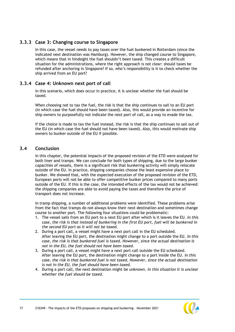### **3.3.3 Case 3: Changing course to Singapore**

In this case, the vessel needs to pay taxes over the fuel bunkered in Rotterdam (since the indicated next destination was Hamburg). However, the ship changed course to Singapore, which means that in hindsight the fuel shouldn't been taxed. This creates a difficult situation for the administrations, where the right approach is not clear: should taxes be refunded after anchoring in Singapore? If so, who's responsibility is it to check whether the ship arrived from an EU port?

#### **3.3.4 Case 4: Unknown next port of call**

In this scenario, which does occur in practice, it is unclear whether the fuel should be taxed.

When choosing not to tax the fuel, the risk is that the ship continues to sail to an EU port (in which case the fuel should have been taxed). Also, this would provide an incentive for ship owners to purposefully not indicate the next port of call, as a way to evade the tax.

<span id="page-17-0"></span>If the choice is made to tax the fuel instead, the risk is that the ship continues to sail out of the EU (in which case the fuel should not have been taxed). Also, this would motivate ship owners to bunker outside of the EU if possible.

### **3.4 Conclusion**

In this chapter, the potential impacts of the proposed revision of the ETD were analysed for both liner and tramps. We can conclude for both types of shipping, due to the large bunker capacities of vessels, there is a significant risk that bunkering activity will simply relocate outside of the EU. In practice, shipping companies choose the least expensive place to bunker. We showed that, with the expected execution of the proposed revision of the ETD, European ports will not be able to offer competitive bunker prices compared to many ports outside of the EU. If this is the case, the intended effects of the tax would not be achieved: the shipping companies are able to avoid paying the taxes and therefore the price of transport does not increase.

In tramp shipping, a number of additional problems were identified. These problems arise from the fact that tramps do not always know their next destination and sometimes change course to another port. The following four situations could be problematic:

- 1. The vessel sails from an EU port to a next EU port after which is it leaves the EU. *In this case, the risk is that instead of bunkering in the first EU port, fuel will be bunkered in the second EU port as it will not be taxed.*
- 2. During a port call, a vessel might have a next port call in the EU scheduled. After leaving the EU port, the destination might change to a port outside the EU. *In this case, the risk is that bunkered fuel is taxed. However, since the actual destination is not in the EU, the fuel should not have been taxed.*
- 3. During a port call, a vessel might have a next port call outside the EU scheduled. After leaving the EU port, the destination might change to a port inside the EU. *In this case, the risk is that bunkered fuel is not taxed. However, since the actual destination is not in the EU, the fuel should have been taxed.*
- 4. During a port call, the next destination might be unknown. *In this situation it is unclear whether the fuel should be taxed.*

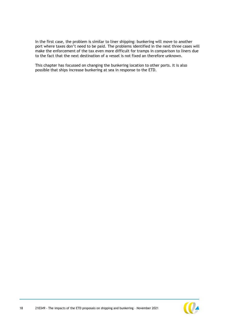In the first case, the problem is similar to liner shipping: bunkering will move to another port where taxes don't need to be paid. The problems identified in the next three cases will make the enforcement of the tax even more difficult for tramps in comparison to liners due to the fact that the next destination of a vessel is not fixed an therefore unknown.

This chapter has focussed on changing the bunkering location to other ports. It is also possible that ships increase bunkering at sea in response to the ETD.

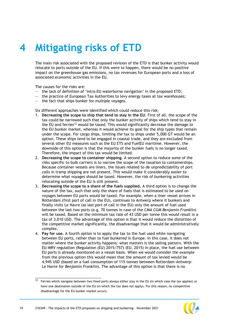# <span id="page-19-0"></span>**4 Mitigating risks of ETD**

The main risk associated with the proposed revision of the ETD is that bunker activity would relocate to ports outside of the EU. If this were to happen, there would be no positive impact on the greenhouse gas emissions, no tax revenues for European ports and a loss of associated economic activities in the EU.

The causes for the risks are:

- the lack of definition of 'intra-EU waterborne navigation' in the proposed ETD;
- the practice of European Tax Authorities to levy energy taxes at tax warehouses;
- $-$  the fact that ships bunker for multiple voyages.

Six different approaches were identified which could reduce this risk:

- 1. **Decreasing the scope to ship that tend to stay in the EU.** First of all, the scope of the tax could be narrowed such that only the bunker activity of ships which tend to stay in the EU and ferries<sup>12</sup> would be taxed. This would significantly decrease the damage to the EU bunker market, whereas it would achieve its goal for the ship types that remain under the scope. For cargo ships, limiting the tax to ships under 5,000 GT would be an option. These ships tend to be engaged in coastal trade, and they are excluded from several other EU measures such as the EU ETS and FuelEU maritime. However, the downside of this option is that the majority of the bunker fuels is no longer taxed. Therefore, the impact of this tax would be limited.
- 2. **Decreasing the scope to container shipping.** A second option to reduce some of the risks specific to bulk carriers is to narrow the scope of the taxation to containerships. Because container vessels are liners, the issues related to de unpredictability of port calls in tramp shipping are not present. This would make it considerably easier to determine what voyages should be taxed. However, the risk of bunkering activities relocating outside of the EU is still present.
- 3. **Decreasing the scope to a share of the fuels supplied.** A third option is to change the nature of the tax, such that only the share of fuels that is estimated to be used on voyages between EU ports would be taxed. For example, when a liner vessel arrives in Rotterdam (first port of call in the EU), continues to Antwerp where it bunkers and finally visits Le Havre (as last port of call in the EU) only the amount of fuel used between the last two ports (e.g. 70 tonnes in case of the *CMA CGM Benjamin Franklin*) will be taxed. Based on the minimum tax rate of 43 USD per tonne this would result in a tax of 3,010 USD. The advantage of this option is that it would reduce the distortion of the competitive market significantly, the disadvantage that it would be administratively complex.
- 4. **Pay for use.** A fourth option is to apply the tax to the fuel used while navigating between EU ports, rather than to fuel bunkered in Europe. In this case, it does not matter where the bunker activity happens: what matters is the sailing pattern. With the EU-MRV regulation (Regulation (EU) 2015/757) (EU, 2015) in place, the fuel use between EU ports is already monitored on a vessel basis. When we would consider the example from the previous option this would mean that the amount of tax levied would be 4,945 USD (based on a fuel consumption of 115 tonnes between Rotterdam-Antwerp-Le Havre for *Benjamin Franklin*). The advantage of this option is that there is no

 $12$  Ferries which navigate between two fixed ports always either stay in the EU (in which case the tax applies) or have one destination outside of the EU (in which the tax does not apply). For this reason, no competitive disadvantage for the EU bunker market occurs.

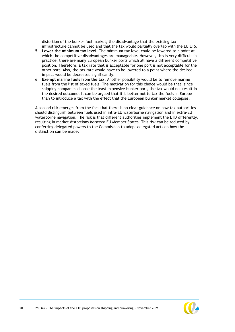distortion of the bunker fuel market; the disadvantage that the existing tax infrastructure cannot be used and that the tax would partially overlap with the EU ETS.

- 5. **Lower the minimum tax level.** The minimum tax level could be lowered to a point at which the competitive disadvantages are manageable. However, this is very difficult in practice: there are many European bunker ports which all have a different competitive position. Therefore, a tax rate that is acceptable for one port is not acceptable for the other port. Also, the tax rate would have to be lowered to a point where the desired impact would be decreased significantly.
- 6. **Exempt marine fuels from the tax.** Another possibility would be to remove marine fuels from the list of taxed fuels. The motivation for this choice would be that, since shipping companies choose the least expensive bunker port, the tax would not result in the desired outcome. It can be argued that it is better not to tax the fuels in Europe than to introduce a tax with the effect that the European bunker market collapses.

A second risk emerges from the fact that there is no clear guidance on how tax authorities should distinguish between fuels used in intra-EU waterborne navigation and in extra-EU waterborne navigation. The risk is that different authorities implement the ETD differently, resulting in market distortions *between* EU Member States. This risk can be reduced by conferring delegated powers to the Commission to adopt delegated acts on how the distinction can be made.

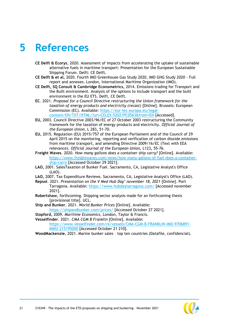# <span id="page-21-0"></span>**5 References**

- **CE Delft & Ecorys**, 2020. Assessment of impacts from accelerating the uptake of sustainable alternative fuels in maritime transport: Presentation for the European Sustainable Shipping Forum. Delft: CE Delft.
- **CE Delft & et al,** 2020. Fourth IMO Greenhouse Gas Study 2020, IMO GHG Study 2020 Full report and annexes. London, International Maritime Organization (IMO).
- **CE Delft, SQ Consult & Cambridge Econometrics,** 2014. Emissions trading for Transport and the Built environment. Analysis of the options to include transport and the built environment in the EU ETS. Delft, CE Delft.
- **EC**. 2021. *Proposal for a Council Directive restructuring the Union framework for the taxation of energy products and electricity (recast)* [Online]. Brussels: European Commission (EC). Available: [https://eur-lex.europa.eu/legal](https://eur-lex.europa.eu/legal-content/EN/TXT/HTML/?uri=CELEX:52021PC0563&from=EN)[content/EN/TXT/HTML/?uri=CELEX:52021PC0563&from=EN](https://eur-lex.europa.eu/legal-content/EN/TXT/HTML/?uri=CELEX:52021PC0563&from=EN) [Accessed].
- **EU,** 2003. Council Directive 2003/96/EC of 27 October 2003 restructuring the Community framework for the taxation of energy products and electricity. *Official Journal of the European Union,* L 283**,** 51-70.
- **EU,** 2015. Regulation (EU) 2015/757 of the European Parliament and of the Council of 29 April 2015 on the monitoring, reporting and verification of carbon dioxide emissions from maritime transport, and amending Directive 2009/16/EC (Text with EEA relevance). *Official Journal of the European Union,* L123**,** 55-76.
- **Freight Waves**. 2020. *How many gallons does a container ship carry?* [Online]. Available: [https://www.freightwaves.com/news/how-many-gallons-of-fuel-does-a-container](https://www.freightwaves.com/news/how-many-gallons-of-fuel-does-a-container-ship-carry)[ship-carry](https://www.freightwaves.com/news/how-many-gallons-of-fuel-does-a-container-ship-carry) [Accessed October 29 2021].
- **LAO,** 2001. SalesTaxation of Bunker Fuel. Sacramento, CA, Legislative Analyst's Office (LAO).
- **LAO,** 2007. Tax Expenditure Reviews. Sacramento, CA, Legislative Analyst's Office (LAO).
- **Repsol**. 2021. *Presentation on the V Med Hub Day' november 18, 2021* [Online]. Port Tarragona. Available:<https://www.hubdaytarragona.com/> [Accessed november 2021].
- **Robertshaw,** forthcoming. Shipping sector analysis made for an forthcoming thesis [provisional title]. UCL.

**Ship and Bunker**. 2021. *World Bunker Prices* [Online]. Available: <https://shipandbunker.com/prices/> [Accessed October 27 2021].

**Stopford,** 2009. *Maritime Economics,* London, Taylor & Francis.

**Vesselfinder**. 2021. *CMA CGM B Franklin* [Online]. Available: [https://www.vesselfinder.com/nl/vessels/CMA-CGM-B-FRANKLIN-IMO-9706891-](https://www.vesselfinder.com/nl/vessels/CMA-CGM-B-FRANKLIN-IMO-9706891-MMSI-215195000) [MMSI-215195000](https://www.vesselfinder.com/nl/vessels/CMA-CGM-B-FRANKLIN-IMO-9706891-MMSI-215195000) [Accessed October 21 210].

**WoodMackenzie**, 2021. Marine bunker sales – top ten countries (Datafile, confidencial).

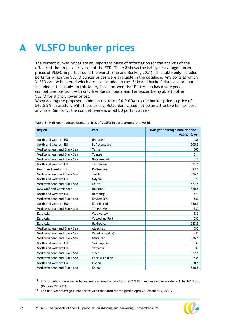# <span id="page-22-0"></span>**A VLSFO bunker prices**

The current bunker prices are an important piece of information for the analysis of the effects of the proposed revision of the ETD. [Table 8](#page-22-1) shows the half-year average bunker prices of VLSFO in ports around the world (Ship and Bunker, 2021). This table only includes ports for which the VLSFO bunker prices were available in the database. Any ports at which VLSFO can be bunkered which are not included in the 'Ship and bunker' database are not included in this study. In this table, it can be seen that Rotterdam has a very good competitive position, with only five Russian ports and Terneuzen being able to offer VLSFO for slightly lower prices.

When adding the proposed minimum tax rate of  $0.9 \text{ }\epsilon/\text{MJ}$  to the bunker price, a price of 565.5 \$/mt results<sup>13</sup>. With these prices, Rotterdam would not be an attractive bunker port anymore. Similarly, the competitiveness of all EU ports is at risk.

| <b>Region</b>               | Port              | Half-year average bunker price <sup>14</sup><br>VLSFO (\$/mt) |
|-----------------------------|-------------------|---------------------------------------------------------------|
| North and western EU        | Ust-Luga          | 488                                                           |
| North and western EU        | St Petersburg     | 500.5                                                         |
| Mediterranean and Black Sea | Taman             | 507                                                           |
| Mediterranean and Black Sea | Tuapse            | 511                                                           |
| Mediterranean and Black Sea | Novorossiysk      | 515                                                           |
| North and western EU        | Terneuzen         | 521.5                                                         |
| North and western EU        | Rotterdam         | 523.5                                                         |
| Mediterranean and Black Sea | Jeddah            | 526.5                                                         |
| North and western EU        | Gdynia            | 527                                                           |
| Mediterranean and Black Sea | Ceuta             | 527.5                                                         |
| U.S. Gulf and Carribbean    | Houston           | 528.5                                                         |
| North and western EU        | Hamburg           | 529                                                           |
| Mediterranean and Black Sea | Kavkaz OPL        | 530                                                           |
| North and western EU        | Kaliningrad       | 530.5                                                         |
| Mediterranean and Black Sea | <b>Tanger Med</b> | 533                                                           |
| East Asia                   | Vladivostok       | 533                                                           |
| East Asia                   | Vostochny Port    | 533                                                           |
| East Asia                   | Nakhodka          | 533.5                                                         |
| Mediterranean and Black Sea | Algeciras         | 535                                                           |
| Mediterranean and Black Sea | Valletta (Malta)  | 535                                                           |
| Mediterranean and Black Sea | Gibraltar         | 536.5                                                         |
| North and western EU        | Swinoujscie       | 537                                                           |
| North and western EU        | Szczecin          | 537                                                           |
| Mediterranean and Black Sea | <b>Sines</b>      | 537.5                                                         |
| Mediterranean and Black Sea | Khor Al Fakkan    | 538                                                           |
| North and western EU        | Lisbon            | 538.5                                                         |
| Mediterranean and Black Sea | Kalba             | 538.5                                                         |

<span id="page-22-1"></span>**Table 8 – Half-year average bunker prices of VLSFO in ports around the world** 

 $\frac{13}{13}$  This calculation was made by assuming an energy density of 40.2 MJ/kg and an exchange rate of 1.16 USD/Euro (October 27, 2021).

<sup>&</sup>lt;sup>14</sup> The half-year average bunker price was calculated for the period April 27-October 26, 2021.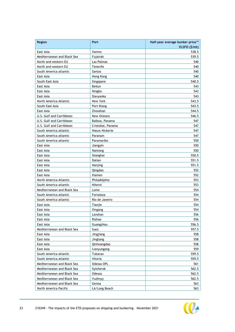| Region                      | Port              | Half-year average bunker price <sup>14</sup><br>VLSFO (\$/mt) |
|-----------------------------|-------------------|---------------------------------------------------------------|
| East Asia                   | Vanino            | 538.5                                                         |
| Mediterranean and Black Sea | Fujairah          | 539.5                                                         |
| North and western EU        | Las Palmas        | 540                                                           |
| North and western EU        | Tenerife          | 540                                                           |
| South America atlantic      | Santos            | 540                                                           |
| East Asia                   | Hong Kong         | 540                                                           |
| South East Asia             | Singapore         | 540.5                                                         |
| East Asia                   | Beilun            | 543                                                           |
| East Asia                   | Ningbo            | 543                                                           |
| East Asia                   | Slavyanka         | 543                                                           |
| North America Atlantic      | New York          | 543.5                                                         |
| South East Asia             | Port Klang        | 543.5                                                         |
| East Asia                   | Zhoushan          | 544.5                                                         |
| U.S. Gulf and Carribbean    | New Orleans       | 546.5                                                         |
| U.S. Gulf and Carribbean    | Balboa, Panama    | 547                                                           |
| U.S. Gulf and Carribbean    | Cristobal, Panama | 547                                                           |
| South America atlantic      | Nieuw Nickerie    | 547                                                           |
| South America atlantic      | Paranam           | 547                                                           |
| South America atlantic      | Paramaribo        | 550                                                           |
| East Asia                   | Jiangyin          | 550                                                           |
| East Asia                   | Nantong           | 550                                                           |
| East Asia                   | Shanghai          | 550.5                                                         |
| East Asia                   | Dalian            | 551.5                                                         |
| East Asia                   | Nanjing           | 551.5                                                         |
| East Asia                   | Qingdao           | 552                                                           |
| East Asia                   | Xiamen            | 552                                                           |
| North America Atlantic      | Philadelphia      | 553                                                           |
| South America atlantic      | Niteroi           | 553                                                           |
| Mediterranean and Black Sea | Lome              | 554                                                           |
| South America atlantic      | Fortaleza         | 554                                                           |
| South America atlantic      | Rio de Janeiro    | 554                                                           |
| East Asia                   | Tianjin           | 554                                                           |
| East Asia                   | Xingang           | 554                                                           |
| East Asia                   | Lanshan           | 556                                                           |
| East Asia                   | Rizhao            | 556                                                           |
| East Asia                   | Guangzhou         | 556.5                                                         |
| Mediterranean and Black Sea | Suez              | 557.5                                                         |
| East Asia                   | Jingjiang         | 558                                                           |
| East Asia                   | Jingtang          | 558                                                           |
| East Asia                   | Qinhuangdao       | 558                                                           |
| East Asia                   | Lianyungang       | 559                                                           |
| South America atlantic      | Tubarao           | 559.5                                                         |
| South America atlantic      | Vitoria           | 559.5                                                         |
| Mediterranean and Black Sea | Odessa OPL        | 561                                                           |
| Mediterranean and Black Sea | Ilyichevsk        | 562.5                                                         |
| Mediterranean and Black Sea | Odessa            | 562.5                                                         |
| Mediterranean and Black Sea | Yuzhnyy           | 562.5                                                         |
| Mediterranean and Black Sea | Genoa             | 563                                                           |
| North America Pacific       | LA/Long Beach     | 563                                                           |

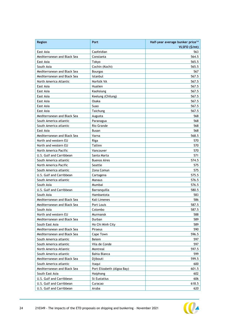| Region                      | Port                       | Half-year average bunker price <sup>14</sup><br>VLSFO (\$/mt) |
|-----------------------------|----------------------------|---------------------------------------------------------------|
| East Asia                   | Caofeidian                 | 563                                                           |
| Mediterranean and Black Sea | Constanta                  | 564.5                                                         |
| East Asia                   | Tokyo                      | 565.5                                                         |
| South Asia                  | Cochin (Kochi)             | 565.5                                                         |
| Mediterranean and Black Sea | Bourgas                    | 567                                                           |
| Mediterranean and Black Sea | Istanbul                   | 567.5                                                         |
| North America Atlantic      | Norfolk VA                 | 567.5                                                         |
| East Asia                   | Hualien                    | 567.5                                                         |
| East Asia                   | Kaohsiung                  | 567.5                                                         |
| East Asia                   | Keelung (Chilung)          | 567.5                                                         |
| East Asia                   | Osaka                      | 567.5                                                         |
| East Asia                   | Suao                       | 567.5                                                         |
| East Asia                   | Taichung                   | 567.5                                                         |
| Mediterranean and Black Sea | Augusta                    | 568                                                           |
| South America atlantic      | Paranagua                  | 568                                                           |
| South America atlantic      | Rio Grande                 | 568                                                           |
| East Asia                   | Busan                      | 568                                                           |
| Mediterranean and Black Sea | Varna                      | 568.5                                                         |
| North and western EU        | Riga                       | 570                                                           |
| North and western EU        | Tallinn                    | 570                                                           |
| North America Pacific       | Vancouver                  | 570                                                           |
| U.S. Gulf and Carribbean    | Santa Marta                | 571                                                           |
| South America atlantic      | <b>Buenos Aires</b>        | 574.5                                                         |
| North America Pacific       | Seattle                    | 575                                                           |
| South America atlantic      | Zona Comun                 | 575                                                           |
| U.S. Gulf and Carribbean    | Cartagena                  | 575.5                                                         |
| South America atlantic      | Manaus                     | 576.5                                                         |
| South Asia                  | Mumbai                     | 576.5                                                         |
| U.S. Gulf and Carribbean    | Barranquilla               | 580.5                                                         |
| South Asia                  | Hambantota                 | 583                                                           |
| Mediterranean and Black Sea | Kali Limenes               | 586                                                           |
| Mediterranean and Black Sea | Port Louis                 | 587.5                                                         |
| South Asia                  | Colombo                    | 587.5                                                         |
| North and western EU        | Murmansk                   | 588                                                           |
| Mediterranean and Black Sea | Durban                     | 589                                                           |
| South East Asia             | Ho Chi Minh City           | 589                                                           |
| Mediterranean and Black Sea | Piraeus                    | 590                                                           |
| Mediterranean and Black Sea | Cape Town                  | 596.5                                                         |
| South America atlantic      | Belem                      | 597                                                           |
| South America atlantic      | Vila de Conde              | 597                                                           |
| North America Atlantic      | Montreal                   | 597.5                                                         |
| South America atlantic      | Bahia Blanca               | 599                                                           |
| Mediterranean and Black Sea | Djibouti                   | 599.5                                                         |
| South America atlantic      | Itaqui                     | 600                                                           |
| Mediterranean and Black Sea | Port Elizabeth (Algoa Bay) | 601.5                                                         |
| South East Asia             | Haiphong                   | 602                                                           |
| U.S. Gulf and Carribbean    | St Eustatius               | 606                                                           |
| U.S. Gulf and Carribbean    | Curacao                    | 618.5                                                         |
| U.S. Gulf and Carribbean    | Aruba                      | 620                                                           |